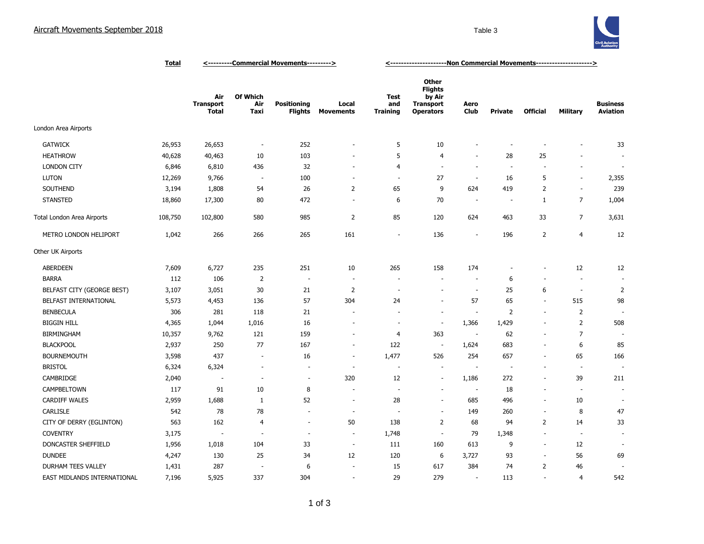

|                             | <u>Total</u> | <----------Commercial Movements---------> |                                |                                      |                           | <-----------------------Non Commercial Movements---------------------> |                                                                                  |                          |                          |                          |                          |                                    |
|-----------------------------|--------------|-------------------------------------------|--------------------------------|--------------------------------------|---------------------------|------------------------------------------------------------------------|----------------------------------------------------------------------------------|--------------------------|--------------------------|--------------------------|--------------------------|------------------------------------|
|                             |              | Air<br><b>Transport</b><br><b>Total</b>   | <b>Of Which</b><br>Air<br>Taxi | <b>Positioning</b><br><b>Flights</b> | Local<br><b>Movements</b> | Test<br>and<br><b>Training</b>                                         | <b>Other</b><br><b>Flights</b><br>by Air<br><b>Transport</b><br><b>Operators</b> | Aero<br>Club             | <b>Private</b>           | <b>Official</b>          | Military                 | <b>Business</b><br><b>Aviation</b> |
| London Area Airports        |              |                                           |                                |                                      |                           |                                                                        |                                                                                  |                          |                          |                          |                          |                                    |
| <b>GATWICK</b>              | 26,953       | 26,653                                    | $\overline{\phantom{a}}$       | 252                                  | ÷,                        | 5                                                                      | 10                                                                               | ۰                        |                          | $\overline{a}$           |                          | 33                                 |
| <b>HEATHROW</b>             | 40,628       | 40,463                                    | 10                             | 103                                  | ٠                         | 5                                                                      | 4                                                                                | ÷,                       | 28                       | 25                       |                          |                                    |
| <b>LONDON CITY</b>          | 6,846        | 6,810                                     | 436                            | 32                                   | $\overline{\phantom{a}}$  | 4                                                                      | $\sim$                                                                           | $\sim$                   | $\overline{\phantom{a}}$ | $\overline{\phantom{a}}$ | $\sim$                   |                                    |
| <b>LUTON</b>                | 12,269       | 9,766                                     | $\overline{\phantom{a}}$       | 100                                  | ÷,                        | $\sim$                                                                 | 27                                                                               | $\overline{\phantom{a}}$ | 16                       | 5                        | $\blacksquare$           | 2,355                              |
| SOUTHEND                    | 3,194        | 1,808                                     | 54                             | 26                                   | $\overline{2}$            | 65                                                                     | 9                                                                                | 624                      | 419                      | $\overline{2}$           | $\sim$                   | 239                                |
| <b>STANSTED</b>             | 18,860       | 17,300                                    | 80                             | 472                                  | $\overline{\phantom{a}}$  | 6                                                                      | 70                                                                               | $\overline{\phantom{a}}$ | $\overline{\phantom{a}}$ | $\mathbf{1}$             | $\overline{7}$           | 1,004                              |
| Total London Area Airports  | 108,750      | 102,800                                   | 580                            | 985                                  | $\overline{2}$            | 85                                                                     | 120                                                                              | 624                      | 463                      | 33                       | $\overline{7}$           | 3,631                              |
| METRO LONDON HELIPORT       | 1,042        | 266                                       | 266                            | 265                                  | 161                       | ÷,                                                                     | 136                                                                              | $\overline{\phantom{a}}$ | 196                      | $\overline{2}$           | 4                        | 12                                 |
| Other UK Airports           |              |                                           |                                |                                      |                           |                                                                        |                                                                                  |                          |                          |                          |                          |                                    |
| ABERDEEN                    | 7,609        | 6,727                                     | 235                            | 251                                  | 10                        | 265                                                                    | 158                                                                              | 174                      |                          | $\overline{a}$           | 12                       | 12                                 |
| <b>BARRA</b>                | 112          | 106                                       | $\overline{2}$                 | $\overline{\phantom{a}}$             |                           |                                                                        |                                                                                  | $\sim$                   | 6                        | $\overline{\phantom{a}}$ | $\sim$                   |                                    |
| BELFAST CITY (GEORGE BEST)  | 3,107        | 3,051                                     | 30                             | 21                                   | $\overline{2}$            | ÷                                                                      |                                                                                  | $\sim$                   | 25                       | 6                        | $\overline{\phantom{a}}$ | 2                                  |
| BELFAST INTERNATIONAL       | 5,573        | 4,453                                     | 136                            | 57                                   | 304                       | 24                                                                     |                                                                                  | 57                       | 65                       | $\overline{\phantom{a}}$ | 515                      | 98                                 |
| <b>BENBECULA</b>            | 306          | 281                                       | 118                            | 21                                   | ÷                         |                                                                        |                                                                                  | $\overline{\phantom{a}}$ | 2                        | $\sim$                   | $\overline{2}$           |                                    |
| <b>BIGGIN HILL</b>          | 4,365        | 1,044                                     | 1,016                          | 16                                   |                           | $\overline{\phantom{a}}$                                               | $\sim$                                                                           | 1,366                    | 1,429                    | $\sim$                   | $\overline{2}$           | 508                                |
| <b>BIRMINGHAM</b>           | 10,357       | 9,762                                     | 121                            | 159                                  | $\overline{\phantom{a}}$  | 4                                                                      | 363                                                                              | $\sim$                   | 62                       | $\sim$                   | $\overline{7}$           |                                    |
| <b>BLACKPOOL</b>            | 2,937        | 250                                       | 77                             | 167                                  | $\overline{\phantom{a}}$  | 122                                                                    | $\overline{\phantom{a}}$                                                         | 1,624                    | 683                      | ÷,                       | 6                        | 85                                 |
| <b>BOURNEMOUTH</b>          | 3,598        | 437                                       | $\sim$                         | 16                                   | ÷                         | 1,477                                                                  | 526                                                                              | 254                      | 657                      | $\sim$                   | 65                       | 166                                |
| <b>BRISTOL</b>              | 6,324        | 6,324                                     | $\overline{\phantom{a}}$       | $\overline{\phantom{a}}$             | ÷                         | $\sim$                                                                 | $\sim$                                                                           | ٠.                       | $\overline{\phantom{a}}$ | ÷                        | $\overline{\phantom{a}}$ |                                    |
| CAMBRIDGE                   | 2,040        | $\overline{\phantom{a}}$                  | $\sim$                         | $\sim$                               | 320                       | 12                                                                     | $\sim$                                                                           | 1,186                    | 272                      | ÷,                       | 39                       | 211                                |
| CAMPBELTOWN                 | 117          | 91                                        | 10                             | 8                                    |                           |                                                                        |                                                                                  | $\overline{\phantom{a}}$ | 18                       | ٠                        | $\overline{\phantom{a}}$ |                                    |
| <b>CARDIFF WALES</b>        | 2,959        | 1,688                                     | 1                              | 52                                   | ÷,                        | 28                                                                     |                                                                                  | 685                      | 496                      | $\overline{\phantom{a}}$ | 10                       |                                    |
| <b>CARLISLE</b>             | 542          | 78                                        | 78                             | $\blacksquare$                       | ÷,                        |                                                                        | $\sim$                                                                           | 149                      | 260                      | $\blacksquare$           | 8                        | 47                                 |
| CITY OF DERRY (EGLINTON)    | 563          | 162                                       | $\overline{4}$                 | $\overline{\phantom{a}}$             | 50                        | 138                                                                    | $\overline{2}$                                                                   | 68                       | 94                       | 2                        | 14                       | 33                                 |
| <b>COVENTRY</b>             | 3,175        | $\sim$                                    | $\sim$                         | $\overline{\phantom{a}}$             | $\overline{\phantom{a}}$  | 1,748                                                                  | $\blacksquare$                                                                   | 79                       | 1,348                    | $\blacksquare$           | $\sim$                   | $\overline{\phantom{a}}$           |
| DONCASTER SHEFFIELD         | 1,956        | 1,018                                     | 104                            | 33                                   | $\overline{\phantom{a}}$  | 111                                                                    | 160                                                                              | 613                      | 9                        | $\overline{\phantom{a}}$ | 12                       |                                    |
| <b>DUNDEE</b>               | 4,247        | 130                                       | 25                             | 34                                   | 12                        | 120                                                                    | 6                                                                                | 3,727                    | 93                       | $\overline{\phantom{a}}$ | 56                       | 69                                 |
| <b>DURHAM TEES VALLEY</b>   | 1,431        | 287                                       | ÷,                             | 6                                    | $\overline{a}$            | 15                                                                     | 617                                                                              | 384                      | 74                       | 2                        | 46                       |                                    |
| EAST MIDLANDS INTERNATIONAL | 7,196        | 5,925                                     | 337                            | 304                                  | $\overline{\phantom{a}}$  | 29                                                                     | 279                                                                              | $\overline{\phantom{a}}$ | 113                      | $\blacksquare$           | $\overline{4}$           | 542                                |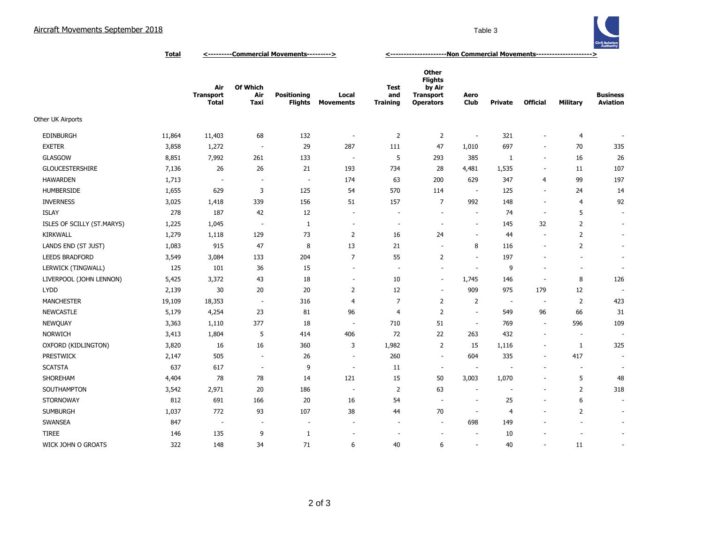

**Total <---------Commercial Movements---------> <---------------------Non Commercial Movements--------------------->**

|                            |        | Air<br><b>Transport</b><br><b>Total</b> | Of Which<br>Air<br>Taxi  | <b>Positioning</b><br><b>Flights</b> | Local<br><b>Movements</b> | Test<br>and<br><b>Training</b> | <b>Other</b><br><b>Flights</b><br>by Air<br><b>Transport</b><br><b>Operators</b> | Aero<br>Club             | <b>Private</b> | <b>Official</b>          | <b>Military</b> | <b>Business</b><br><b>Aviation</b> |
|----------------------------|--------|-----------------------------------------|--------------------------|--------------------------------------|---------------------------|--------------------------------|----------------------------------------------------------------------------------|--------------------------|----------------|--------------------------|-----------------|------------------------------------|
| Other UK Airports          |        |                                         |                          |                                      |                           |                                |                                                                                  |                          |                |                          |                 |                                    |
| <b>EDINBURGH</b>           | 11,864 | 11,403                                  | 68                       | 132                                  | $\overline{\phantom{a}}$  | $\overline{2}$                 | $\overline{2}$                                                                   | $\sim$                   | 321            | $\overline{\phantom{a}}$ | 4               |                                    |
| <b>EXETER</b>              | 3,858  | 1,272                                   | $\overline{\phantom{a}}$ | 29                                   | 287                       | 111                            | 47                                                                               | 1,010                    | 697            | $\sim$                   | 70              | 335                                |
| <b>GLASGOW</b>             | 8,851  | 7,992                                   | 261                      | 133                                  | $\overline{\phantom{a}}$  | 5                              | 293                                                                              | 385                      | 1              | $\sim$                   | 16              | 26                                 |
| <b>GLOUCESTERSHIRE</b>     | 7,136  | 26                                      | 26                       | 21                                   | 193                       | 734                            | 28                                                                               | 4,481                    | 1,535          | $\overline{\phantom{a}}$ | 11              | 107                                |
| <b>HAWARDEN</b>            | 1,713  | $\sim$                                  | $\sim$                   | $\overline{\phantom{a}}$             | 174                       | 63                             | 200                                                                              | 629                      | 347            | 4                        | 99              | 197                                |
| <b>HUMBERSIDE</b>          | 1,655  | 629                                     | 3                        | 125                                  | 54                        | 570                            | 114                                                                              | $\sim$                   | 125            | $\blacksquare$           | 24              | 14                                 |
| <b>INVERNESS</b>           | 3,025  | 1,418                                   | 339                      | 156                                  | 51                        | 157                            | $\overline{7}$                                                                   | 992                      | 148            | $\overline{\phantom{a}}$ | $\overline{4}$  | 92                                 |
| <b>ISLAY</b>               | 278    | 187                                     | 42                       | 12                                   | $\overline{\phantom{a}}$  |                                | $\sim$                                                                           | $\sim$                   | 74             | $\overline{\phantom{a}}$ | 5               | $\sim$                             |
| ISLES OF SCILLY (ST.MARYS) | 1,225  | 1,045                                   | $\overline{\phantom{a}}$ | 1                                    | $\sim$                    | $\overline{\phantom{a}}$       | $\sim$                                                                           | $\sim$                   | 145            | 32                       | $\overline{2}$  | $\overline{\phantom{a}}$           |
| <b>KIRKWALL</b>            | 1,279  | 1,118                                   | 129                      | 73                                   | $\overline{2}$            | 16                             | 24                                                                               | $\sim$                   | 44             | $\overline{\phantom{a}}$ | $\overline{2}$  | $\overline{\phantom{a}}$           |
| LANDS END (ST JUST)        | 1,083  | 915                                     | 47                       | 8                                    | 13                        | 21                             | $\sim$                                                                           | 8                        | 116            | $\sim$                   | 2               | $\overline{\phantom{a}}$           |
| <b>LEEDS BRADFORD</b>      | 3,549  | 3,084                                   | 133                      | 204                                  | $\overline{7}$            | 55                             | 2                                                                                | ÷.                       | 197            | $\sim$                   | $\sim$          | $\overline{\phantom{a}}$           |
| LERWICK (TINGWALL)         | 125    | 101                                     | 36                       | 15                                   | ÷.                        | $\sim$                         | ÷.                                                                               | ÷,                       | 9              | ÷.                       | $\sim$          | $\overline{\phantom{a}}$           |
| LIVERPOOL (JOHN LENNON)    | 5,425  | 3,372                                   | 43                       | 18                                   | $\sim$                    | 10                             | $\sim$                                                                           | 1,745                    | 146            | $\overline{\phantom{a}}$ | 8               | 126                                |
| <b>LYDD</b>                | 2,139  | 30                                      | 20                       | 20                                   | $\overline{2}$            | 12                             | $\sim$                                                                           | 909                      | 975            | 179                      | 12              | $\overline{\phantom{a}}$           |
| <b>MANCHESTER</b>          | 19,109 | 18,353                                  | $\sim$                   | 316                                  | 4                         | 7                              | $\overline{2}$                                                                   | 2                        | $\sim$         | $\overline{\phantom{a}}$ | $\overline{2}$  | 423                                |
| <b>NEWCASTLE</b>           | 5,179  | 4,254                                   | 23                       | 81                                   | 96                        | 4                              | $\overline{2}$                                                                   | $\overline{\phantom{a}}$ | 549            | 96                       | 66              | 31                                 |
| <b>NEWQUAY</b>             | 3,363  | 1,110                                   | 377                      | 18                                   | $\sim$                    | 710                            | 51                                                                               | $\sim$                   | 769            | $\overline{\phantom{a}}$ | 596             | 109                                |
| <b>NORWICH</b>             | 3,413  | 1,804                                   | 5                        | 414                                  | 406                       | 72                             | 22                                                                               | 263                      | 432            | $\sim$                   | $\sim$          | ٠                                  |
| OXFORD (KIDLINGTON)        | 3,820  | 16                                      | 16                       | 360                                  | 3                         | 1,982                          | 2                                                                                | 15                       | 1,116          | $\overline{\phantom{a}}$ | $\mathbf{1}$    | 325                                |
| <b>PRESTWICK</b>           | 2,147  | 505                                     | $\sim$                   | 26                                   | $\sim$                    | 260                            | $\sim$                                                                           | 604                      | 335            | $\overline{\phantom{a}}$ | 417             | $\overline{\phantom{a}}$           |
| <b>SCATSTA</b>             | 637    | 617                                     | $\sim$                   | 9                                    | $\sim$                    | 11                             | $\sim$                                                                           | $\overline{\phantom{a}}$ |                | $\overline{\phantom{a}}$ | $\sim$          | $\overline{\phantom{a}}$           |
| SHOREHAM                   | 4,404  | 78                                      | 78                       | 14                                   | 121                       | 15                             | 50                                                                               | 3,003                    | 1,070          | $\blacksquare$           | 5               | 48                                 |
| SOUTHAMPTON                | 3,542  | 2,971                                   | 20                       | 186                                  | $\overline{a}$            | 2                              | 63                                                                               | $\overline{a}$           |                | $\overline{\phantom{a}}$ | $\overline{2}$  | 318                                |
| <b>STORNOWAY</b>           | 812    | 691                                     | 166                      | 20                                   | 16                        | 54                             | $\sim$                                                                           | $\overline{\phantom{a}}$ | 25             | $\overline{\phantom{a}}$ | 6               | $\overline{\phantom{a}}$           |
| <b>SUMBURGH</b>            | 1,037  | 772                                     | 93                       | 107                                  | 38                        | 44                             | 70                                                                               | $\sim$                   | 4              | $\sim$                   | $\overline{2}$  | $\overline{\phantom{a}}$           |
| <b>SWANSEA</b>             | 847    | $\sim$                                  | $\sim$                   | $\overline{\phantom{a}}$             | $\overline{\phantom{a}}$  |                                | $\sim$                                                                           | 698                      | 149            |                          | $\sim$          | $\overline{\phantom{a}}$           |
| <b>TIREE</b>               | 146    | 135                                     | 9                        | 1                                    | $\overline{\phantom{a}}$  |                                | $\sim$                                                                           | $\sim$                   | 10             |                          | Ē,              | $\blacksquare$                     |
| WICK JOHN O GROATS         | 322    | 148                                     | 34                       | 71                                   | 6                         | 40                             | 6                                                                                | ÷.                       | 40             | $\sim$                   | 11              | $\overline{\phantom{a}}$           |